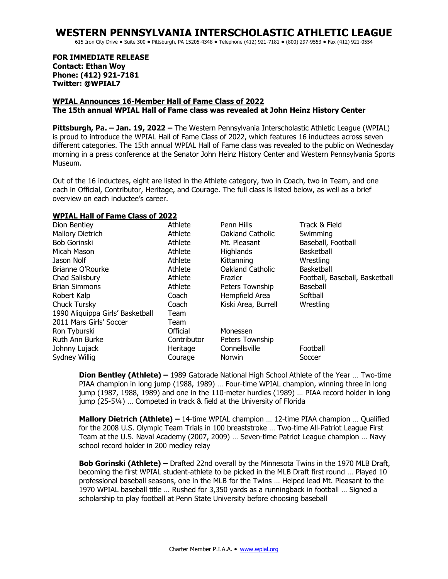# **WESTERN PENNSYLVANIA INTERSCHOLASTIC ATHLETIC LEAGUE**

615 Iron City Drive **•** Suite 300 **•** Pittsburgh, PA 15205-4348 **•** Telephone (412) 921-7181 **•** (800) 297-9553 **•** Fax (412) 921-0554

**FOR IMMEDIATE RELEASE Contact: Ethan Woy Phone: (412) 921-7181 Twitter: @WPIAL7**

### **WPIAL Announces 16-Member Hall of Fame Class of 2022 The 15th annual WPIAL Hall of Fame class was revealed at John Heinz History Center**

**Pittsburgh, Pa. – Jan. 19, 2022 –** The Western Pennsylvania Interscholastic Athletic League (WPIAL) is proud to introduce the WPIAL Hall of Fame Class of 2022, which features 16 inductees across seven different categories. The 15th annual WPIAL Hall of Fame class was revealed to the public on Wednesday morning in a press conference at the Senator John Heinz History Center and Western Pennsylvania Sports Museum.

Out of the 16 inductees, eight are listed in the Athlete category, two in Coach, two in Team, and one each in Official, Contributor, Heritage, and Courage. The full class is listed below, as well as a brief overview on each inductee's career.

#### **WPIAL Hall of Fame Class of 2022**

| Dion Bentley                     | Athlete     | Penn Hills          | Track & Field                  |
|----------------------------------|-------------|---------------------|--------------------------------|
| <b>Mallory Dietrich</b>          | Athlete     | Oakland Catholic    | Swimming                       |
| <b>Bob Gorinski</b>              | Athlete     | Mt. Pleasant        | Baseball, Football             |
| Micah Mason                      | Athlete     | <b>Highlands</b>    | Basketball                     |
| Jason Nolf                       | Athlete     | Kittanning          | Wrestling                      |
| Brianne O'Rourke                 | Athlete     | Oakland Catholic    | <b>Basketball</b>              |
| Chad Salisbury                   | Athlete     | Frazier             | Football, Baseball, Basketball |
| <b>Brian Simmons</b>             | Athlete     | Peters Township     | Baseball                       |
| Robert Kalp                      | Coach       | Hempfield Area      | Softball                       |
| <b>Chuck Tursky</b>              | Coach       | Kiski Area, Burrell | Wrestling                      |
| 1990 Aliquippa Girls' Basketball | Team        |                     |                                |
| 2011 Mars Girls' Soccer          | Team        |                     |                                |
| Ron Tyburski                     | Official    | Monessen            |                                |
| Ruth Ann Burke                   | Contributor | Peters Township     |                                |
| Johnny Lujack                    | Heritage    | Connellsville       | Football                       |
| Sydney Willig                    | Courage     | <b>Norwin</b>       | Soccer                         |

**Dion Bentley (Athlete) –** 1989 Gatorade National High School Athlete of the Year … Two-time PIAA champion in long jump (1988, 1989) … Four-time WPIAL champion, winning three in long jump (1987, 1988, 1989) and one in the 110-meter hurdles (1989) … PIAA record holder in long jump (25-5¼) … Competed in track & field at the University of Florida

**Mallory Dietrich (Athlete) –** 14-time WPIAL champion … 12-time PIAA champion … Qualified for the 2008 U.S. Olympic Team Trials in 100 breaststroke … Two-time All-Patriot League First Team at the U.S. Naval Academy (2007, 2009) … Seven-time Patriot League champion … Navy school record holder in 200 medley relay

**Bob Gorinski (Athlete) –** Drafted 22nd overall by the Minnesota Twins in the 1970 MLB Draft, becoming the first WPIAL student-athlete to be picked in the MLB Draft first round … Played 10 professional baseball seasons, one in the MLB for the Twins … Helped lead Mt. Pleasant to the 1970 WPIAL baseball title … Rushed for 3,350 yards as a runningback in football … Signed a scholarship to play football at Penn State University before choosing baseball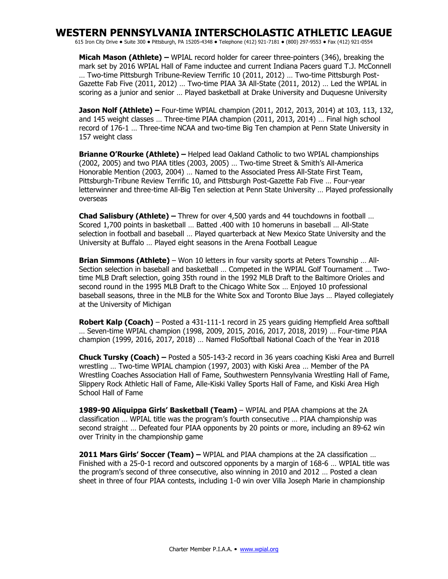## **WESTERN PENNSYLVANIA INTERSCHOLASTIC ATHLETIC LEAGUE**

615 Iron City Drive **•** Suite 300 **•** Pittsburgh, PA 15205-4348 **•** Telephone (412) 921-7181 **•** (800) 297-9553 **•** Fax (412) 921-0554

**Micah Mason (Athlete) –** WPIAL record holder for career three-pointers (346), breaking the mark set by 2016 WPIAL Hall of Fame inductee and current Indiana Pacers guard T.J. McConnell … Two-time Pittsburgh Tribune-Review Terrific 10 (2011, 2012) … Two-time Pittsburgh Post-Gazette Fab Five (2011, 2012) … Two-time PIAA 3A All-State (2011, 2012) … Led the WPIAL in scoring as a junior and senior … Played basketball at Drake University and Duquesne University

**Jason Nolf (Athlete) –** Four-time WPIAL champion (2011, 2012, 2013, 2014) at 103, 113, 132, and 145 weight classes … Three-time PIAA champion (2011, 2013, 2014) … Final high school record of 176-1 … Three-time NCAA and two-time Big Ten champion at Penn State University in 157 weight class

**Brianne O'Rourke (Athlete) –** Helped lead Oakland Catholic to two WPIAL championships (2002, 2005) and two PIAA titles (2003, 2005) … Two-time Street & Smith's All-America Honorable Mention (2003, 2004) … Named to the Associated Press All-State First Team, Pittsburgh-Tribune Review Terrific 10, and Pittsburgh Post-Gazette Fab Five … Four-year letterwinner and three-time All-Big Ten selection at Penn State University … Played professionally overseas

**Chad Salisbury (Athlete) –** Threw for over 4,500 yards and 44 touchdowns in football … Scored 1,700 points in basketball … Batted .400 with 10 homeruns in baseball … All-State selection in football and baseball … Played quarterback at New Mexico State University and the University at Buffalo … Played eight seasons in the Arena Football League

**Brian Simmons (Athlete)** – Won 10 letters in four varsity sports at Peters Township … All-Section selection in baseball and basketball … Competed in the WPIAL Golf Tournament … Twotime MLB Draft selection, going 35th round in the 1992 MLB Draft to the Baltimore Orioles and second round in the 1995 MLB Draft to the Chicago White Sox … Enjoyed 10 professional baseball seasons, three in the MLB for the White Sox and Toronto Blue Jays … Played collegiately at the University of Michigan

**Robert Kalp (Coach)** – Posted a 431-111-1 record in 25 years guiding Hempfield Area softball … Seven-time WPIAL champion (1998, 2009, 2015, 2016, 2017, 2018, 2019) … Four-time PIAA champion (1999, 2016, 2017, 2018) … Named FloSoftball National Coach of the Year in 2018

**Chuck Tursky (Coach) –** Posted a 505-143-2 record in 36 years coaching Kiski Area and Burrell wrestling … Two-time WPIAL champion (1997, 2003) with Kiski Area … Member of the PA Wrestling Coaches Association Hall of Fame, Southwestern Pennsylvania Wrestling Hall of Fame, Slippery Rock Athletic Hall of Fame, Alle-Kiski Valley Sports Hall of Fame, and Kiski Area High School Hall of Fame

**1989-90 Aliquippa Girls' Basketball (Team)** – WPIAL and PIAA champions at the 2A classification … WPIAL title was the program's fourth consecutive … PIAA championship was second straight … Defeated four PIAA opponents by 20 points or more, including an 89-62 win over Trinity in the championship game

**2011 Mars Girls' Soccer (Team) –** WPIAL and PIAA champions at the 2A classification … Finished with a 25-0-1 record and outscored opponents by a margin of 168-6 … WPIAL title was the program's second of three consecutive, also winning in 2010 and 2012 … Posted a clean sheet in three of four PIAA contests, including 1-0 win over Villa Joseph Marie in championship